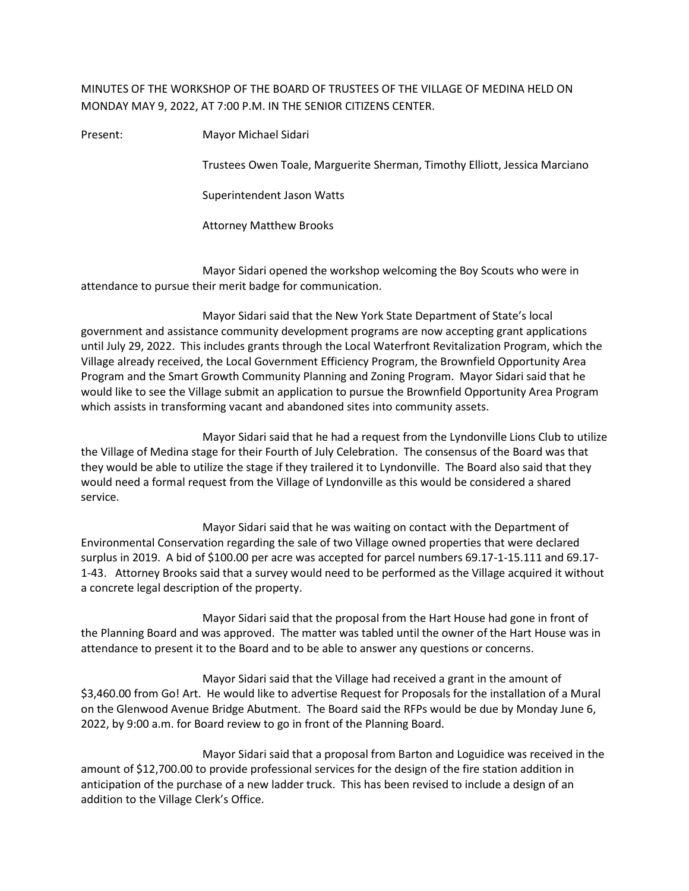## MINUTES OF THE WORKSHOP OF THE BOARD OF TRUSTEES OF THE VILLAGE OF MEDINA HELD ON MONDAY MAY 9, 2022, AT 7:00 P.M. IN THE SENIOR CITIZENS CENTER.

Present: Mayor Michael Sidari

Trustees Owen Toale, Marguerite Sherman, Timothy Elliott, Jessica Marciano

Superintendent Jason Watts

Attorney Matthew Brooks

Mayor Sidari opened the workshop welcoming the Boy Scouts who were in attendance to pursue their merit badge for communication.

Mayor Sidari said that the New York State Department of State's local government and assistance community development programs are now accepting grant applications until July 29, 2022. This includes grants through the Local Waterfront Revitalization Program, which the Village already received, the Local Government Efficiency Program, the Brownfield Opportunity Area Program and the Smart Growth Community Planning and Zoning Program. Mayor Sidari said that he would like to see the Village submit an application to pursue the Brownfield Opportunity Area Program which assists in transforming vacant and abandoned sites into community assets.

Mayor Sidari said that he had a request from the Lyndonville Lions Club to utilize the Village of Medina stage for their Fourth of July Celebration. The consensus of the Board was that they would be able to utilize the stage if they trailered it to Lyndonville. The Board also said that they would need a formal request from the Village of Lyndonville as this would be considered a shared service.

Mayor Sidari said that he was waiting on contact with the Department of Environmental Conservation regarding the sale of two Village owned properties that were declared surplus in 2019. A bid of \$100.00 per acre was accepted for parcel numbers 69.17-1-15.111 and 69.17- 1-43. Attorney Brooks said that a survey would need to be performed as the Village acquired it without a concrete legal description of the property.

Mayor Sidari said that the proposal from the Hart House had gone in front of the Planning Board and was approved. The matter was tabled until the owner of the Hart House was in attendance to present it to the Board and to be able to answer any questions or concerns.

Mayor Sidari said that the Village had received a grant in the amount of \$3,460.00 from Go! Art. He would like to advertise Request for Proposals for the installation of a Mural on the Glenwood Avenue Bridge Abutment. The Board said the RFPs would be due by Monday June 6, 2022, by 9:00 a.m. for Board review to go in front of the Planning Board.

Mayor Sidari said that a proposal from Barton and Loguidice was received in the amount of \$12,700.00 to provide professional services for the design of the fire station addition in anticipation of the purchase of a new ladder truck. This has been revised to include a design of an addition to the Village Clerk's Office.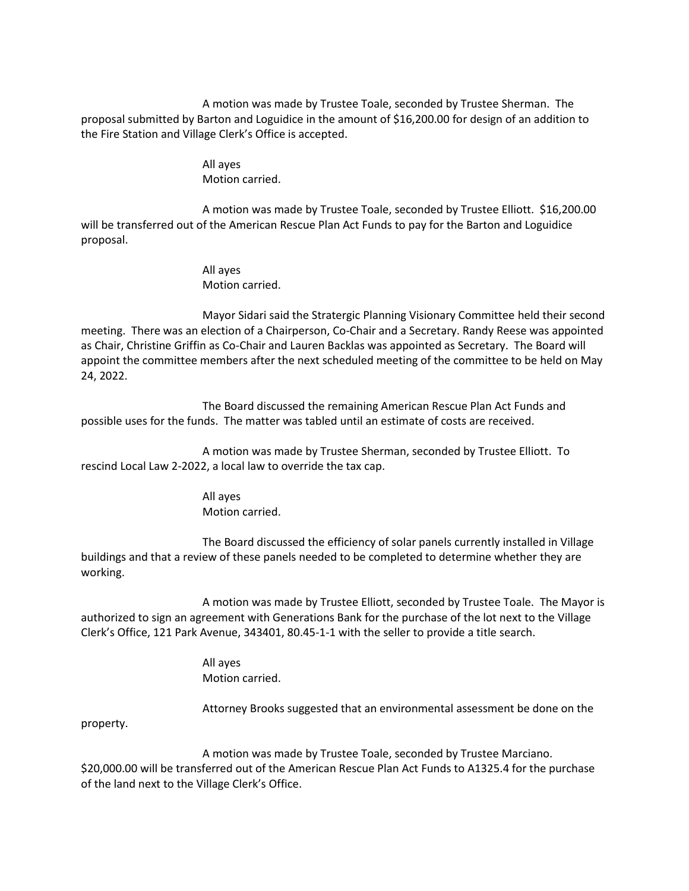A motion was made by Trustee Toale, seconded by Trustee Sherman. The proposal submitted by Barton and Loguidice in the amount of \$16,200.00 for design of an addition to the Fire Station and Village Clerk's Office is accepted.

> All ayes Motion carried.

A motion was made by Trustee Toale, seconded by Trustee Elliott. \$16,200.00 will be transferred out of the American Rescue Plan Act Funds to pay for the Barton and Loguidice proposal.

> All ayes Motion carried.

Mayor Sidari said the Stratergic Planning Visionary Committee held their second meeting. There was an election of a Chairperson, Co-Chair and a Secretary. Randy Reese was appointed as Chair, Christine Griffin as Co-Chair and Lauren Backlas was appointed as Secretary. The Board will appoint the committee members after the next scheduled meeting of the committee to be held on May 24, 2022.

The Board discussed the remaining American Rescue Plan Act Funds and possible uses for the funds. The matter was tabled until an estimate of costs are received.

A motion was made by Trustee Sherman, seconded by Trustee Elliott. To rescind Local Law 2-2022, a local law to override the tax cap.

> All ayes Motion carried.

The Board discussed the efficiency of solar panels currently installed in Village buildings and that a review of these panels needed to be completed to determine whether they are working.

A motion was made by Trustee Elliott, seconded by Trustee Toale. The Mayor is authorized to sign an agreement with Generations Bank for the purchase of the lot next to the Village Clerk's Office, 121 Park Avenue, 343401, 80.45-1-1 with the seller to provide a title search.

> All ayes Motion carried.

Attorney Brooks suggested that an environmental assessment be done on the

property.

A motion was made by Trustee Toale, seconded by Trustee Marciano. \$20,000.00 will be transferred out of the American Rescue Plan Act Funds to A1325.4 for the purchase of the land next to the Village Clerk's Office.